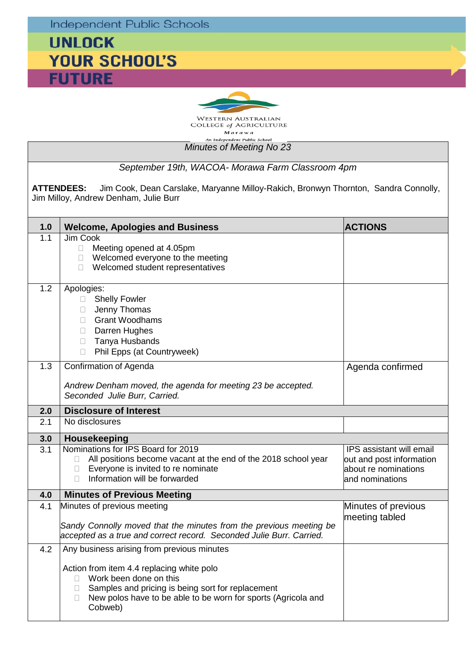**Independent Public Schools** 

## **UNLOCK YOUR SCHOOL'S FUTURE**



*Minutes of Meeting No 23 September 19th, WACOA- Morawa Farm Classroom 4pm* **ATTENDEES:** Jim Cook, Dean Carslake, Maryanne Milloy-Rakich, Bronwyn Thornton, Sandra Connolly, Jim Milloy, Andrew Denham, Julie Burr 1.0 **Welcome, Apologies and Business ACTIONS ACTIONS** Jim Cook  $\Box$  Meeting opened at 4.05pm Welcomed everyone to the meeting □ Welcomed student representatives 1.2 Apologies: Shelly Fowler **Jenny Thomas**  Grant Woodhams Darren Hughes □ Tanya Husbands □ Phil Epps (at Countryweek) 1.3 Confirmation of Agenda *Andrew Denham moved, the agenda for meeting 23 be accepted. Seconded Julie Burr, Carried.* Agenda confirmed **2.0 Disclosure of Interest** 2.1 | No disclosures **3.0 Housekeeping** 3.1 Nominations for IPS Board for 2019  $\Box$  All positions become vacant at the end of the 2018 school year  $\Box$  Everyone is invited to re nominate Everyone is invited to re nominate  $\Box$  Information will be forwarded IPS assistant will email out and post information about re nominations and nominations **4.0 Minutes of Previous Meeting** 4.1 Minutes of previous meeting *Sandy Connolly moved that the minutes from the previous meeting be accepted as a true and correct record. Seconded Julie Burr. Carried.* Minutes of previous meeting tabled 4.2 Any business arising from previous minutes Action from item 4.4 replacing white polo □ Work been done on this

 $\Box$  Samples and pricing is being sort for replacement  $\Box$  New polos have to be able to be worn for sports (Agricola and Cobweb)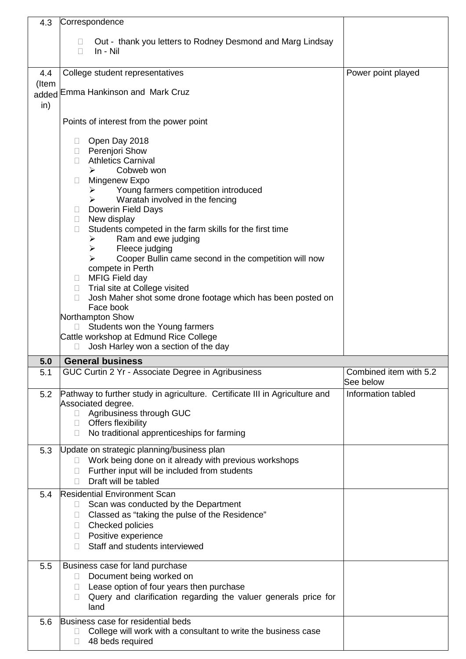| 4.3          | Correspondence                                                                                                                                                                                                                                                                                                                                                                                                                                                                                                                                                                                                                                                                                                            |                                     |
|--------------|---------------------------------------------------------------------------------------------------------------------------------------------------------------------------------------------------------------------------------------------------------------------------------------------------------------------------------------------------------------------------------------------------------------------------------------------------------------------------------------------------------------------------------------------------------------------------------------------------------------------------------------------------------------------------------------------------------------------------|-------------------------------------|
|              | Out - thank you letters to Rodney Desmond and Marg Lindsay<br>In - Nil<br>П                                                                                                                                                                                                                                                                                                                                                                                                                                                                                                                                                                                                                                               |                                     |
| 4.4          | College student representatives                                                                                                                                                                                                                                                                                                                                                                                                                                                                                                                                                                                                                                                                                           | Power point played                  |
| (Item<br>in) | added Emma Hankinson and Mark Cruz                                                                                                                                                                                                                                                                                                                                                                                                                                                                                                                                                                                                                                                                                        |                                     |
|              | Points of interest from the power point                                                                                                                                                                                                                                                                                                                                                                                                                                                                                                                                                                                                                                                                                   |                                     |
|              | Open Day 2018<br>u.<br>□ Perenjori Show<br><b>Athletics Carnival</b><br>П.<br>Cobweb won<br>➤<br>Mingenew Expo<br>$\Box$<br>Young farmers competition introduced<br>$\blacktriangleright$<br>Waratah involved in the fencing<br>➤<br><b>Dowerin Field Days</b><br>u<br>New display<br>$\Box$<br>Students competed in the farm skills for the first time<br>$\Box$<br>Ram and ewe judging<br>➤<br>Fleece judging<br>$\blacktriangleright$<br>Cooper Bullin came second in the competition will now<br>⋗<br>compete in Perth<br>□ MFIG Field day<br>□ Trial site at College visited<br>Josh Maher shot some drone footage which has been posted on<br>П.<br>Face book<br>Northampton Show<br>Students won the Young farmers |                                     |
|              | Cattle workshop at Edmund Rice College<br>$\Box$                                                                                                                                                                                                                                                                                                                                                                                                                                                                                                                                                                                                                                                                          |                                     |
|              | Josh Harley won a section of the day                                                                                                                                                                                                                                                                                                                                                                                                                                                                                                                                                                                                                                                                                      |                                     |
| 5.0<br>5.1   | <b>General business</b><br>GUC Curtin 2 Yr - Associate Degree in Agribusiness                                                                                                                                                                                                                                                                                                                                                                                                                                                                                                                                                                                                                                             | Combined item with 5.2<br>See below |
| 5.2          | Pathway to further study in agriculture. Certificate III in Agriculture and<br>Associated degree.<br>Agribusiness through GUC<br>□ Offers flexibility<br>No traditional apprenticeships for farming<br>H                                                                                                                                                                                                                                                                                                                                                                                                                                                                                                                  | Information tabled                  |
| 5.3          | Update on strategic planning/business plan<br>Work being done on it already with previous workshops<br>$\mathbb{R}^n$<br>Further input will be included from students<br>$\Box$<br>Draft will be tabled<br>$\Box$                                                                                                                                                                                                                                                                                                                                                                                                                                                                                                         |                                     |
| 5.4          | <b>Residential Environment Scan</b><br>Scan was conducted by the Department<br>$\Box$<br>Classed as "taking the pulse of the Residence"<br>u<br>Checked policies<br>$\Box$<br>Positive experience<br>u.<br>Staff and students interviewed<br>П.                                                                                                                                                                                                                                                                                                                                                                                                                                                                           |                                     |
| 5.5          | Business case for land purchase<br>Document being worked on<br>$\mathbf{L}$<br>Lease option of four years then purchase<br>$\mathbb{R}^n$<br>Query and clarification regarding the valuer generals price for<br>П.<br>land                                                                                                                                                                                                                                                                                                                                                                                                                                                                                                |                                     |